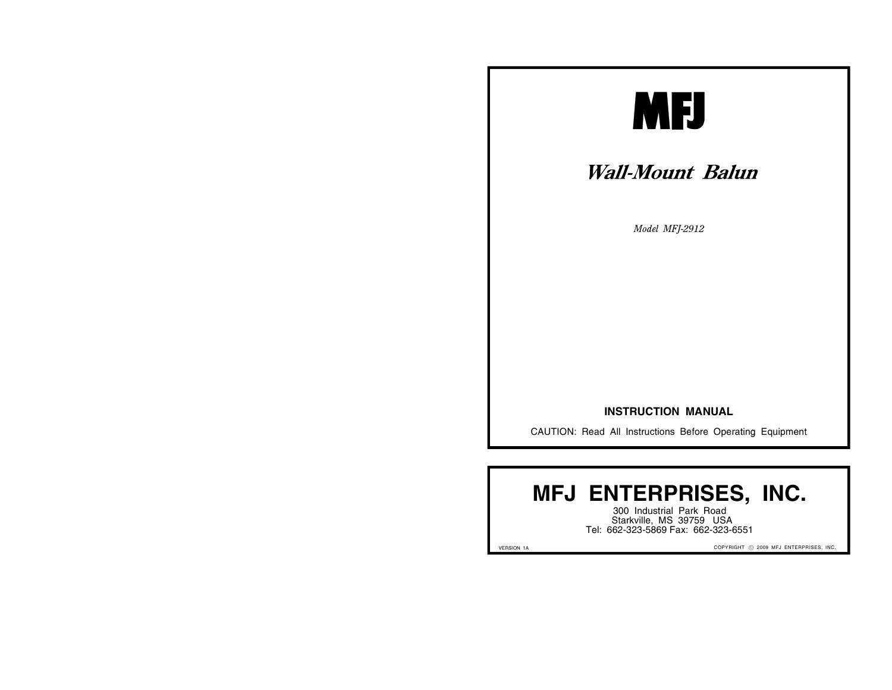# **MFJ**

## **Wall-Mount Balun**

*Model MFJ-2912*

#### **INSTRUCTION MANUAL**

CAUTION: Read All Instructions Before Operating Equipment

# **MFJ ENTERPRISES, INC.**

300 Industrial Park Road Starkville, MS 39759 USA Tel: 662-323-5869 Fax: 662-323-6551

VERSION 1A

COPYRIGHT 2009 MFJ ENTERPRISES, INC. <sup>C</sup>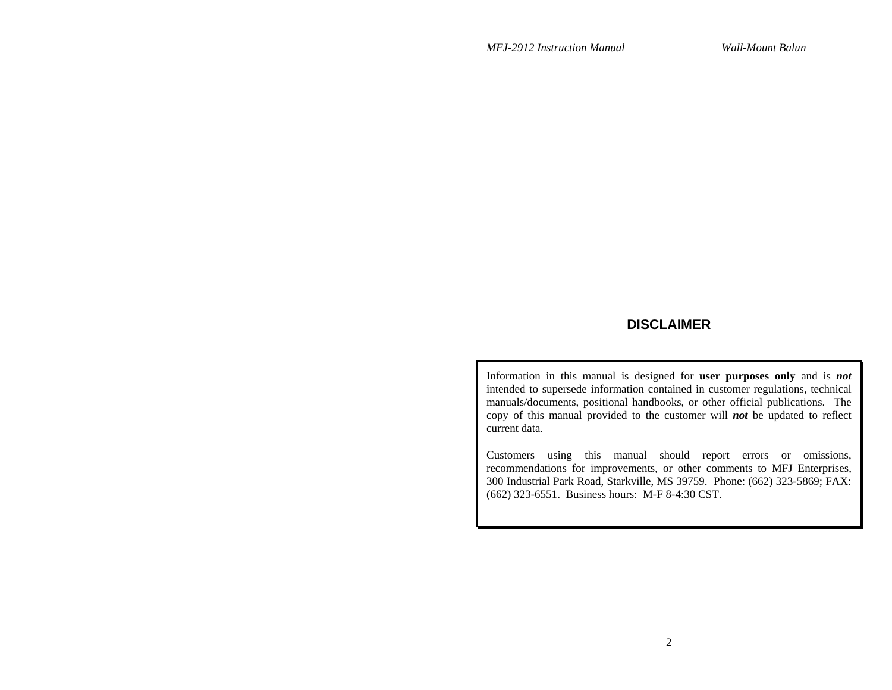#### **DISCLAIMER**

Information in this manual is designed for **user purposes only** and is *not* intended to supersede information contained in customer regulations, technical manuals/documents, positional handbooks, or other official publications. The copy of this manual provided to the customer will *not* be updated to reflect current data.

Customers using this manual should report errors or omissions, recommendations for improvements, or other comments to MFJ Enterprises, 300 Industrial Park Road, Starkville, MS 39759. Phone: (662) 323-5869; FAX: (662) 323-6551. Business hours: M-F 8-4:30 CST.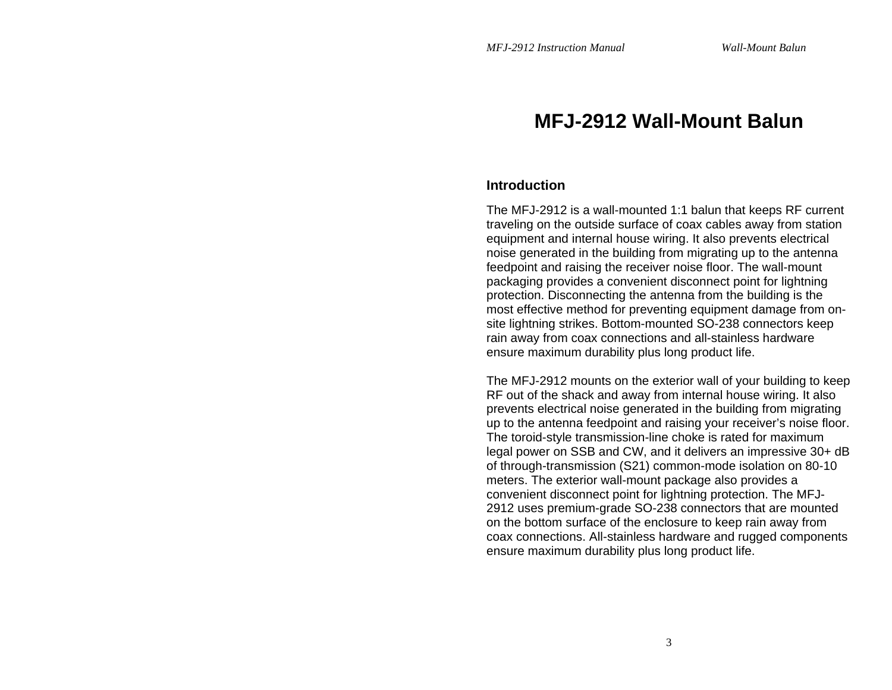## **MFJ-2912 Wall-Mount Balun**

#### **Introduction**

The MFJ-2912 is a wall-mounted 1:1 balun that keeps RF current traveling on the outside surface of coax cables away from station equipment and internal house wiring. It also prevents electrical noise generated in the building from migrating up to the antenna feedpoint and raising the receiver noise floor. The wall-mount packaging provides a convenient disconnect point for lightning protection. Disconnecting the antenna from the building is the most effective method for preventing equipment damage from onsite lightning strikes. Bottom-mounted SO-238 connectors keep rain away from coax connections and all-stainless hardware ensure maximum durability plus long product life.

The MFJ-2912 mounts on the exterior wall of your building to keep RF out of the shack and away from internal house wiring. It also prevents electrical noise generated in the building from migrating up to the antenna feedpoint and raising your receiver's noise floor. The toroid-style transmission-line choke is rated for maximum legal power on SSB and CW, and it delivers an impressive 30+ dB of through-transmission (S21) common-mode isolation on 80-10 meters. The exterior wall-mount package also provides a convenient disconnect point for lightning protection. The MFJ-2912 uses premium-grade SO-238 connectors that are mounted on the bottom surface of the enclosure to keep rain away from coax connections. All-stainless hardware and rugged components ensure maximum durability plus long product life.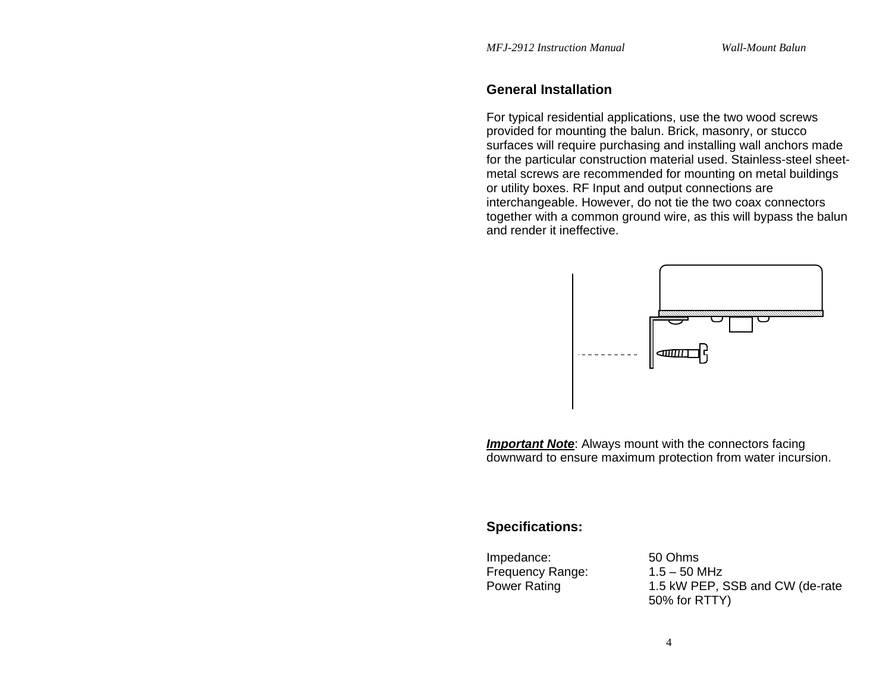#### **General Installation**

For typical residential applications, use the two wood screws provided for mounting the balun. Brick, masonry, or stucco surfaces will require purchasing and installing wall anchors made for the particular construction material used. Stainless-steel sheetmetal screws are recommended for mounting on metal buildings or utility boxes. RF Input and output connections are interchangeable. However, do not tie the two coax connectors together with a common ground wire, as this will bypass the balun and render it ineffective.



**Important Note:** Always mount with the connectors facing downward to ensure maximum protection from water incursion.

#### **Specifications:**

Impedance: 50 Ohms Frequency Range: 1.5 – 50 MHz<br>Power Rating 1.5 kW PEP, 9

1.5 kW PEP, SSB and CW (de-rate 50% for RTTY)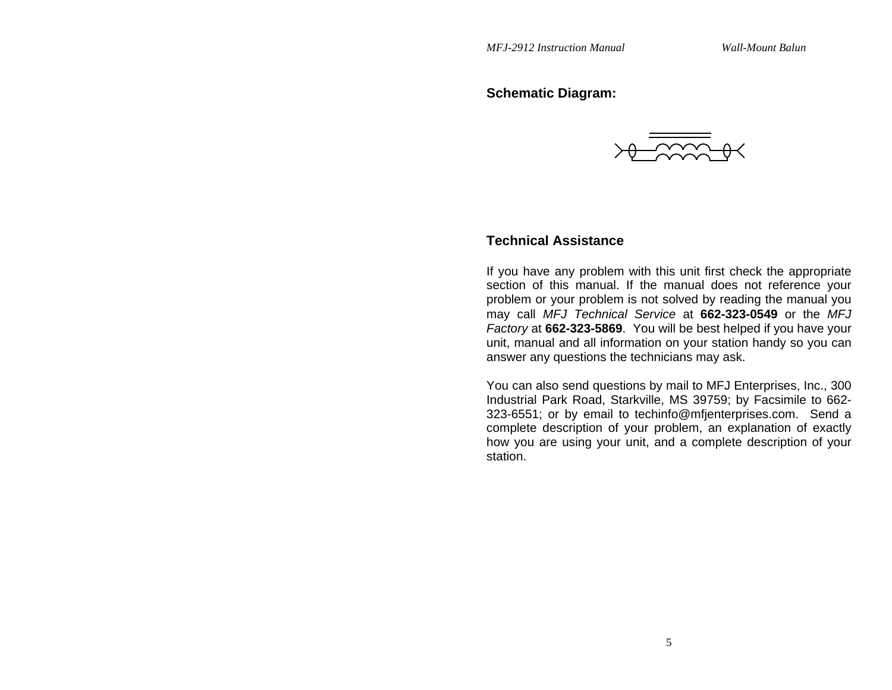#### **Schematic Diagram:**



#### **Technical Assistance**

If you have any problem with this unit first check the appropriate section of this manual. If the manual does not reference your problem or your problem is not solved by reading the manual you may call *MFJ Technical Service* at **662-323-0549** or the *MFJ Factory* at **662-323-5869**. You will be best helped if you have your unit, manual and all information on your station handy so you can answer any questions the technicians may ask.

You can also send questions by mail to MFJ Enterprises, Inc., 300 Industrial Park Road, Starkville, MS 39759; by Facsimile to 662- 323-6551; or by email to techinfo@mfjenterprises.com. Send a complete description of your problem, an explanation of exactly how you are using your unit, and a complete description of your station.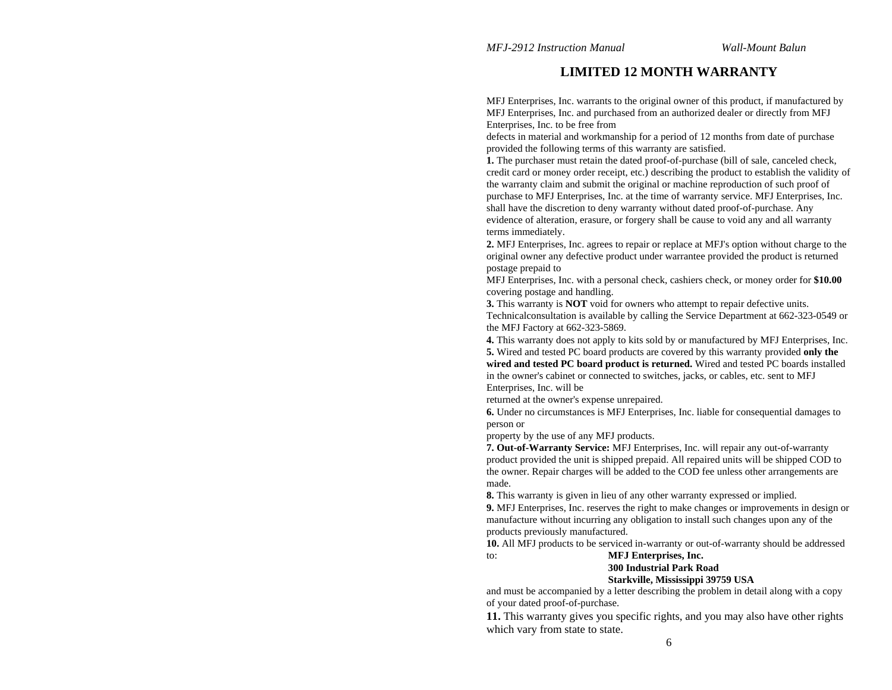#### **LIMITED 12 MONTH WARRANTY**

MFJ Enterprises, Inc. warrants to the original owner of this product, if manufactured by MFJ Enterprises, Inc. and purchased from an authorized dealer or directly from MFJ Enterprises, Inc. to be free from

defects in material and workmanship for a period of 12 months from date of purchase provided the following terms of this warranty are satisfied.

**1.** The purchaser must retain the dated proof-of-purchase (bill of sale, canceled check, credit card or money order receipt, etc.) describing the product to establish the validity of the warranty claim and submit the original or machine reproduction of such proof of purchase to MFJ Enterprises, Inc. at the time of warranty service. MFJ Enterprises, Inc. shall have the discretion to deny warranty without dated proof-of-purchase. Any evidence of alteration, erasure, or forgery shall be cause to void any and all warranty terms immediately.

**2.** MFJ Enterprises, Inc. agrees to repair or replace at MFJ's option without charge to the original owner any defective product under warrantee provided the product is returned postage prepaid to

MFJ Enterprises, Inc. with a personal check, cashiers check, or money order for **\$10.00**  covering postage and handling.

**3.** This warranty is **NOT** void for owners who attempt to repair defective units. Technicalconsultation is available by calling the Service Department at 662-323-0549 or the MFJ Factory at 662-323-5869.

**4.** This warranty does not apply to kits sold by or manufactured by MFJ Enterprises, Inc. **5.** Wired and tested PC board products are covered by this warranty provided **only the** 

**wired and tested PC board product is returned.** Wired and tested PC boards installed in the owner's cabinet or connected to switches, jacks, or cables, etc. sent to MFJ Enterprises, Inc. will be

returned at the owner's expense unrepaired.

**6.** Under no circumstances is MFJ Enterprises, Inc. liable for consequential damages to person or

property by the use of any MFJ products.

**7. Out-of-Warranty Service:** MFJ Enterprises, Inc. will repair any out-of-warranty product provided the unit is shipped prepaid. All repaired units will be shipped COD to the owner. Repair charges will be added to the COD fee unless other arrangements are made.

**8.** This warranty is given in lieu of any other warranty expressed or implied.

**9.** MFJ Enterprises, Inc. reserves the right to make changes or improvements in design or manufacture without incurring any obligation to install such changes upon any of the products previously manufactured.

**10.** All MFJ products to be serviced in-warranty or out-of-warranty should be addressed

to: **MFJ Enterprises, Inc. 300 Industrial Park Road** 

**Starkville, Mississippi 39759 USA** 

and must be accompanied by a letter describing the problem in detail along with a copy of your dated proof-of-purchase.

**11.** This warranty gives you specific rights, and you may also have other rights which vary from state to state.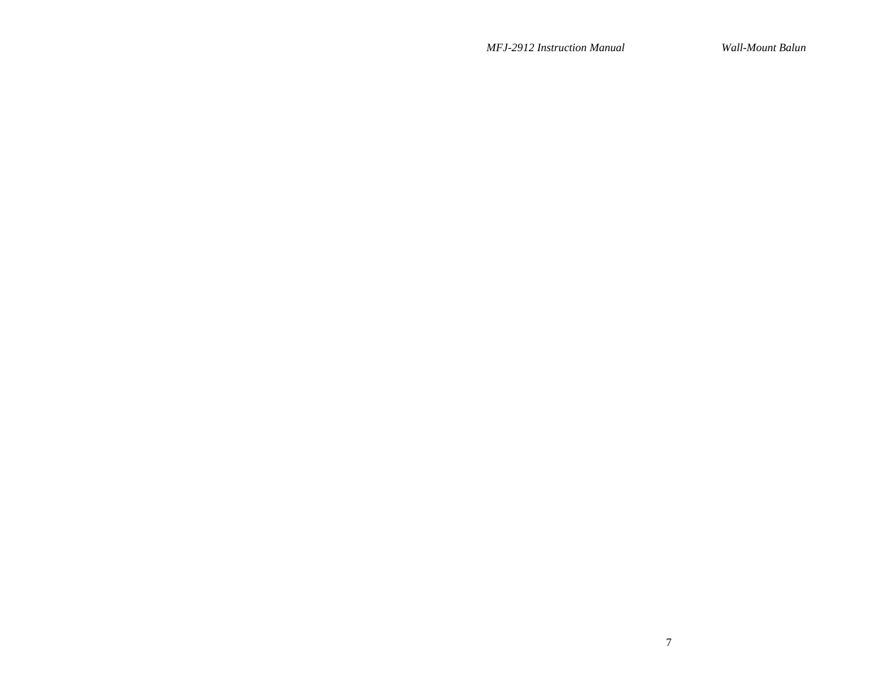*MFJ-2912 Instruction Manual* 

Wall-Mount Balun